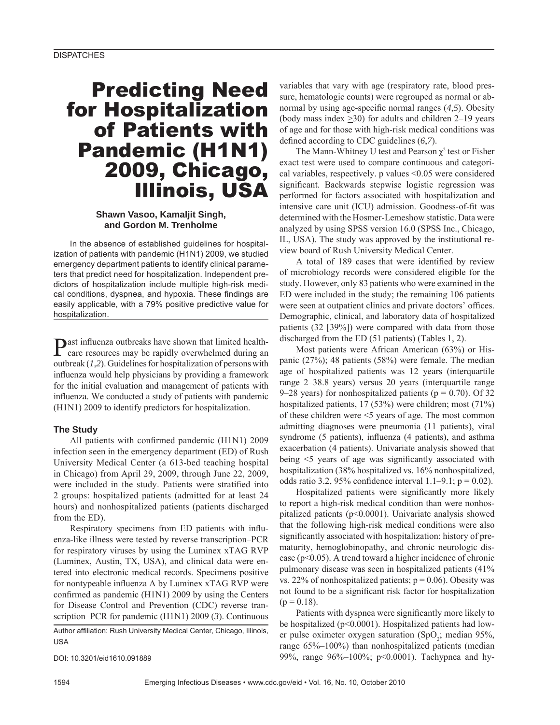# Predicting Need for Hospitalization of Patients with Pandemic (H1N1) 2009, Chicago, Illinois, USA

## **Shawn Vasoo, Kamaljit Singh, and Gordon M. Trenholme**

In the absence of established guidelines for hospitalization of patients with pandemic (H1N1) 2009, we studied emergency department patients to identify clinical parameters that predict need for hospitalization. Independent predictors of hospitalization include multiple high-risk medical conditions, dyspnea, and hypoxia. These findings are easily applicable, with a 79% positive predictive value for hospitalization.

Past influenza outbreaks have shown that limited health-<br>care resources may be rapidly overwhelmed during an outbreak (*1*,*2*). Guidelines for hospitalization of persons with influenza would help physicians by providing a framework for the initial evaluation and management of patients with influenza. We conducted a study of patients with pandemic (H1N1) 2009 to identify predictors for hospitalization.

#### **The Study**

All patients with confirmed pandemic (H1N1) 2009 infection seen in the emergency department (ED) of Rush University Medical Center (a 613-bed teaching hospital in Chicago) from April 29, 2009, through June 22, 2009, were included in the study. Patients were stratified into 2 groups: hospitalized patients (admitted for at least 24 hours) and nonhospitalized patients (patients discharged from the ED).

Respiratory specimens from ED patients with influenza-like illness were tested by reverse transcription–PCR for respiratory viruses by using the Luminex xTAG RVP (Luminex, Austin, TX, USA), and clinical data were entered into electronic medical records. Specimens positive for nontypeable influenza A by Luminex xTAG RVP were confirmed as pandemic (H1N1) 2009 by using the Centers for Disease Control and Prevention (CDC) reverse transcription–PCR for pandemic (H1N1) 2009 (*3*). Continuous

Author affiliation: Rush University Medical Center, Chicago, Illinois, USA

DOI: 10.3201/eid1610.091889

variables that vary with age (respiratory rate, blood pressure, hematologic counts) were regrouped as normal or abnormal by using age-specific normal ranges (4,5). Obesity (body mass index >30) for adults and children 2–19 years of age and for those with high-risk medical conditions was defined according to CDC guidelines (6,7).

The Mann-Whitney U test and Pearson  $\chi^2$  test or Fisher exact test were used to compare continuous and categorical variables, respectively. p values <0.05 were considered significant. Backwards stepwise logistic regression was performed for factors associated with hospitalization and intensive care unit (ICU) admission. Goodness-of-fit was determined with the Hosmer-Lemeshow statistic. Data were analyzed by using SPSS version 16.0 (SPSS Inc., Chicago, IL, USA). The study was approved by the institutional review board of Rush University Medical Center.

A total of 189 cases that were identified by review of microbiology records were considered eligible for the study. However, only 83 patients who were examined in the ED were included in the study; the remaining 106 patients were seen at outpatient clinics and private doctors' offices. Demographic, clinical, and laboratory data of hospitalized patients (32 [39%]) were compared with data from those discharged from the ED (51 patients) (Tables 1, 2).

Most patients were African American (63%) or Hispanic (27%); 48 patients (58%) were female. The median age of hospitalized patients was 12 years (interquartile range 2–38.8 years) versus 20 years (interquartile range 9–28 years) for nonhospitalized patients ( $p = 0.70$ ). Of 32 hospitalized patients, 17 (53%) were children; most (71%) of these children were <5 years of age. The most common admitting diagnoses were pneumonia (11 patients), viral syndrome (5 patients), influenza (4 patients), and asthma exacerbation (4 patients). Univariate analysis showed that being  $\leq$  years of age was significantly associated with hospitalization (38% hospitalized vs. 16% nonhospitalized, odds ratio 3.2, 95% confidence interval  $1.1-9.1$ ; p = 0.02).

Hospitalized patients were significantly more likely to report a high-risk medical condition than were nonhospitalized patients (p<0.0001). Univariate analysis showed that the following high-risk medical conditions were also significantly associated with hospitalization: history of prematurity, hemoglobinopathy, and chronic neurologic disease ( $p<0.05$ ). A trend toward a higher incidence of chronic pulmonary disease was seen in hospitalized patients (41% vs. 22% of nonhospitalized patients;  $p = 0.06$ ). Obesity was not found to be a significant risk factor for hospitalization  $(p = 0.18)$ .

Patients with dyspnea were significantly more likely to be hospitalized (p<0.0001). Hospitalized patients had lower pulse oximeter oxygen saturation  $(SpO<sub>2</sub>; median 95%,$ range 65%–100%) than nonhospitalized patients (median 99%, range 96%–100%; p<0.0001). Tachypnea and hy-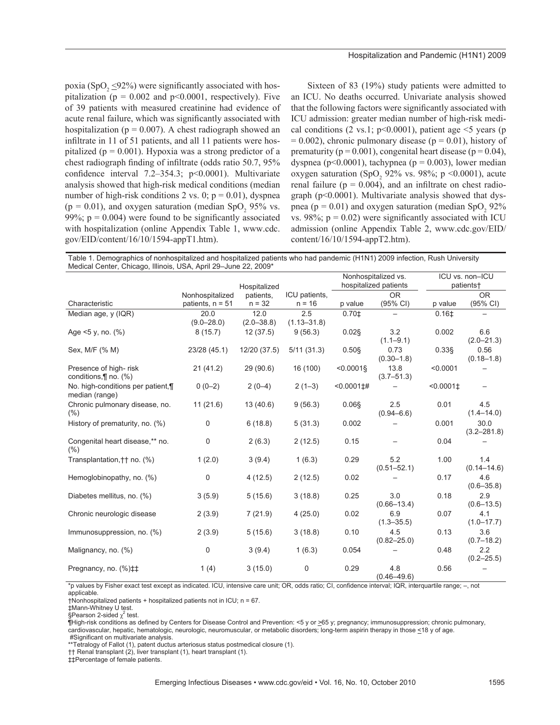poxia (SpO<sub>2</sub>  $\leq$ 92%) were significantly associated with hospitalization ( $p = 0.002$  and  $p \le 0.0001$ , respectively). Five of 39 patients with measured creatinine had evidence of acute renal failure, which was significantly associated with hospitalization ( $p = 0.007$ ). A chest radiograph showed an infiltrate in 11 of 51 patients, and all 11 patients were hospitalized ( $p = 0.001$ ). Hypoxia was a strong predictor of a chest radiograph finding of infiltrate (odds ratio 50.7, 95%) confidence interval  $7.2-354.3$ ;  $p<0.0001$ ). Multivariate analysis showed that high-risk medical conditions (median number of high-risk conditions 2 vs. 0;  $p = 0.01$ ), dyspnea  $(p = 0.01)$ , and oxygen saturation (median SpO<sub>2</sub> 95% vs. 99%;  $p = 0.004$ ) were found to be significantly associated with hospitalization (online Appendix Table 1, www.cdc. gov/EID/content/16/10/1594-appT1.htm).

Sixteen of 83 (19%) study patients were admitted to an ICU. No deaths occurred. Univariate analysis showed that the following factors were significantly associated with ICU admission: greater median number of high-risk medical conditions (2 vs.1;  $p<0.0001$ ), patient age  $\leq$  years (p  $= 0.002$ ), chronic pulmonary disease (p  $= 0.01$ ), history of prematurity ( $p = 0.001$ ), congenital heart disease ( $p = 0.04$ ), dyspnea (p<0.0001), tachypnea (p = 0.003), lower median oxygen saturation (SpO<sub>2</sub> 92% vs. 98%; p <0.0001), acute renal failure ( $p = 0.004$ ), and an infiltrate on chest radiograph (p<0.0001). Multivariate analysis showed that dyspnea ( $p = 0.01$ ) and oxygen saturation (median SpO<sub>2</sub> 92%) vs. 98%;  $p = 0.02$ ) were significantly associated with ICU admission (online Appendix Table 2, www.cdc.gov/EID/ content/16/10/1594-appT2.htm).

Table 1. Demographics of nonhospitalized and hospitalized patients who had pandemic (H1N1) 2009 infection, Rush University Medical Center, Chicago, Illinois, USA, April 29–June 22, 2009\*

|                                                      |                        | Hospitalized           |                        | Nonhospitalized vs.<br>hospitalized patients |                        | ICU vs. non-ICU<br>patients+ |                         |
|------------------------------------------------------|------------------------|------------------------|------------------------|----------------------------------------------|------------------------|------------------------------|-------------------------|
|                                                      | Nonhospitalized        | patients,              | ICU patients,          |                                              | <b>OR</b>              |                              | <b>OR</b>               |
| Characteristic                                       | patients, $n = 51$     | $n = 32$               | $n = 16$               | p value                                      | (95% CI)               | p value                      | (95% CI)                |
| Median age, y (IQR)                                  | 20.0<br>$(9.0 - 28.0)$ | 12.0<br>$(2.0 - 38.8)$ | 2.5<br>$(1.13 - 31.8)$ | $0.70$ <sup>±</sup>                          |                        | 0.16 <sup>±</sup>            |                         |
| Age $5 y$ , no. $(\%)$                               | 8(15.7)                | 12(37.5)               | 9(56.3)                | $0.02$ §                                     | 3.2<br>$(1.1 - 9.1)$   | 0.002                        | 6.6<br>$(2.0 - 21.3)$   |
| Sex, M/F (% M)                                       | 23/28 (45.1)           | 12/20 (37.5)           | 5/11(31.3)             | $0.50$ §                                     | 0.73<br>$(0.30 - 1.8)$ | $0.33$ §                     | 0.56<br>$(0.18 - 1.8)$  |
| Presence of high-risk<br>conditions, [] no. (%)      | 21(41.2)               | 29(90.6)               | 16 (100)               | $< 0.0001$ §                                 | 13.8<br>$(3.7 - 51.3)$ | < 0.0001                     |                         |
| No. high-conditions per patient, ¶<br>median (range) | $0(0-2)$               | $2(0-4)$               | $2(1-3)$               | $< 0.0001 \pm 4$                             |                        | $< 0.0001 \pm 1$             |                         |
| Chronic pulmonary disease, no.<br>(%)                | 11(21.6)               | 13(40.6)               | 9(56.3)                | 0.06§                                        | 2.5<br>$(0.94 - 6.6)$  | 0.01                         | 4.5<br>$(1.4 - 14.0)$   |
| History of prematurity, no. (%)                      | 0                      | 6(18.8)                | 5(31.3)                | 0.002                                        |                        | 0.001                        | 30.0<br>$(3.2 - 281.8)$ |
| Congenital heart disease,** no.<br>(%)               | $\mathbf 0$            | 2(6.3)                 | 2(12.5)                | 0.15                                         |                        | 0.04                         |                         |
| Transplantation, † † no. (%)                         | 1(2.0)                 | 3(9.4)                 | 1(6.3)                 | 0.29                                         | 5.2<br>$(0.51 - 52.1)$ | 1.00                         | 1.4<br>$(0.14 - 14.6)$  |
| Hemoglobinopathy, no. (%)                            | 0                      | 4(12.5)                | 2(12.5)                | 0.02                                         |                        | 0.17                         | 4.6<br>$(0.6 - 35.8)$   |
| Diabetes mellitus, no. (%)                           | 3(5.9)                 | 5(15.6)                | 3(18.8)                | 0.25                                         | 3.0<br>$(0.66 - 13.4)$ | 0.18                         | 2.9<br>$(0.6 - 13.5)$   |
| Chronic neurologic disease                           | 2(3.9)                 | 7(21.9)                | 4(25.0)                | 0.02                                         | 6.9<br>$(1.3 - 35.5)$  | 0.07                         | 4.1<br>$(1.0 - 17.7)$   |
| Immunosuppression, no. (%)                           | 2(3.9)                 | 5(15.6)                | 3(18.8)                | 0.10                                         | 4.5<br>$(0.82 - 25.0)$ | 0.13                         | 3.6<br>$(0.7 - 18.2)$   |
| Malignancy, no. (%)                                  | 0                      | 3(9.4)                 | 1(6.3)                 | 0.054                                        |                        | 0.48                         | 2.2<br>$(0.2 - 25.5)$   |
| Pregnancy, no. (%) $\ddagger\ddagger$                | 1(4)                   | 3(15.0)                | 0                      | 0.29                                         | 4.8<br>$(0.46 - 49.6)$ | 0.56                         |                         |

\*p values by Fisher exact test except as indicated. ICU, intensive care unit; OR, odds ratio; CI, confidence interval; IQR, interquartile range; –, not applicable.

¶High-risk conditions as defined by Centers for Disease Control and Prevention: <5 y or >65 y; pregnancy; immunosuppression; chronic pulmonary, cardiovascular, hepatic, hematologic, neurologic, neuromuscular, or metabolic disorders; long-term aspirin therapy in those <18 y of age.

 #Significant on multivariate analysis. \*\*Tetralogy of Fallot (1), patent ductus arteriosus status postmedical closure (1).

†† Renal transplant (2), liver transplant (1), heart transplant (1).

‡‡Percentage of female patients.

<sup>†</sup>Nonhospitalized patients + hospitalized patients not in ICU; n = 67.

<sup>‡</sup>Mann-Whitney U test.

<sup>§</sup>Pearson 2-sided  $\chi^2$  test.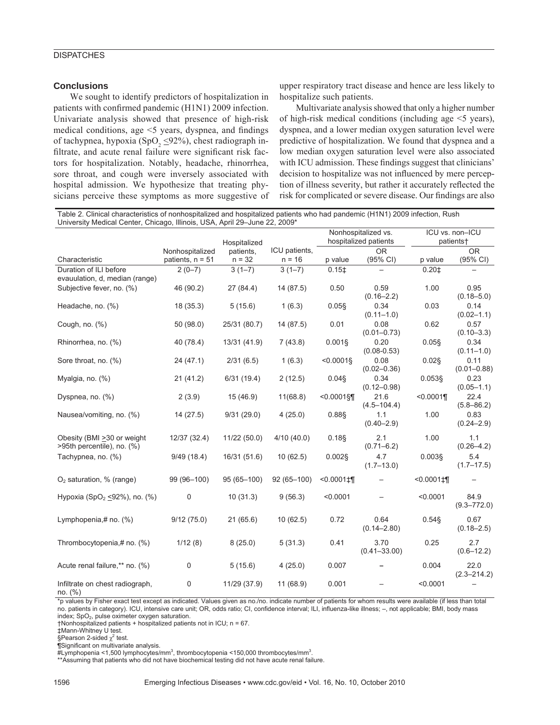### **DISPATCHES**

#### **Conclusions**

We sought to identify predictors of hospitalization in patients with confirmed pandemic (H1N1) 2009 infection. Univariate analysis showed that presence of high-risk medical conditions, age  $\leq$ 5 years, dyspnea, and findings of tachypnea, hypoxia (SpO<sub>2</sub>  $\leq$ 92%), chest radiograph infiltrate, and acute renal failure were significant risk factors for hospitalization. Notably, headache, rhinorrhea, sore throat, and cough were inversely associated with hospital admission. We hypothesize that treating physicians perceive these symptoms as more suggestive of

upper respiratory tract disease and hence are less likely to hospitalize such patients.

Multivariate analysis showed that only a higher number of high-risk medical conditions (including age  $\leq$  years), dyspnea, and a lower median oxygen saturation level were predictive of hospitalization. We found that dyspnea and a low median oxygen saturation level were also associated with ICU admission. These findings suggest that clinicians' decision to hospitalize was not influenced by mere perception of illness severity, but rather it accurately reflected the risk for complicated or severe disease. Our findings are also

Table 2. Clinical characteristics of nonhospitalized and hospitalized patients who had pandemic (H1N1) 2009 infection, Rush University Medical Center, Chicago, Illinois, USA, April 29–June 22, 2009\*

|                                                           |                                       |                       |                           | Nonhospitalized vs.                         |                                 |                         | ICU vs. non-ICU<br>patients+ |  |
|-----------------------------------------------------------|---------------------------------------|-----------------------|---------------------------|---------------------------------------------|---------------------------------|-------------------------|------------------------------|--|
|                                                           |                                       | Hospitalized          |                           |                                             | hospitalized patients           |                         |                              |  |
| Characteristic                                            | Nonhospitalized<br>patients, $n = 51$ | patients.<br>$n = 32$ | ICU patients,<br>$n = 16$ | p value                                     | <b>OR</b><br>$(95% \text{ Cl})$ | p value                 | OR.<br>(95% CI)              |  |
| Duration of ILI before<br>evauulation, d, median (range)  | $2(0-7)$                              | $3(1-7)$              | $3(1-7)$                  | $0.15$ $\pm$                                | $\overline{\phantom{0}}$        | 0.201                   | $\overline{\phantom{0}}$     |  |
| Subjective fever, no. (%)                                 | 46 (90.2)                             | 27 (84.4)             | 14 (87.5)                 | 0.50                                        | 0.59<br>$(0.16 - 2.2)$          | 1.00                    | 0.95<br>$(0.18 - 5.0)$       |  |
| Headache, no. (%)                                         | 18 (35.3)                             | 5(15.6)               | 1(6.3)                    | $0.05$ §                                    | 0.34<br>$(0.11 - 1.0)$          | 0.03                    | 0.14<br>$(0.02 - 1.1)$       |  |
| Cough, $no.$ $%$                                          | 50 (98.0)                             | 25/31 (80.7)          | 14 (87.5)                 | 0.01                                        | 0.08<br>$(0.01 - 0.73)$         | 0.62                    | 0.57<br>$(0.10 - 3.3)$       |  |
| Rhinorrhea, no. (%)                                       | 40 (78.4)                             | 13/31 (41.9)          | 7(43.8)                   | $0.001$ §                                   | 0.20<br>$(0.08 - 0.53)$         | $0.05$ §                | 0.34<br>$(0.11 - 1.0)$       |  |
| Sore throat, no. (%)                                      | 24(47.1)                              | 2/31(6.5)             | 1(6.3)                    | $< 0.0001$ §                                | 0.08<br>$(0.02 - 0.36)$         | $0.02$ §                | 0.11<br>$(0.01 - 0.88)$      |  |
| Myalgia, no. (%)                                          | 21(41.2)                              | 6/31(19.4)            | 2(12.5)                   | $0.04$ §                                    | 0.34<br>$(0.12 - 0.98)$         | 0.053§                  | 0.23<br>$(0.05 - 1.1)$       |  |
| Dyspnea, no. (%)                                          | 2(3.9)                                | 15(46.9)              | 11(68.8)                  | $< 0.0001$ §¶                               | 21.6<br>$(4.5 - 104.4)$         | < 0.0001                | 22.4<br>$(5.8 - 86.2)$       |  |
| Nausea/vomiting, no. (%)                                  | 14(27.5)                              | 9/31(29.0)            | 4(25.0)                   | $0.88$ \$                                   | 1.1<br>$(0.40 - 2.9)$           | 1.00                    | 0.83<br>$(0.24 - 2.9)$       |  |
| Obesity (BMI > 30 or weight<br>>95th percentile), no. (%) | 12/37 (32.4)                          | 11/22 (50.0)          | 4/10(40.0)                | 0.18                                        | 2.1<br>$(0.71 - 6.2)$           | 1.00                    | 1.1<br>$(0.26 - 4.2)$        |  |
| Tachypnea, no. (%)                                        | 9/49(18.4)                            | 16/31 (51.6)          | 10(62.5)                  | $0.002$ §                                   | 4.7<br>$(1.7 - 13.0)$           | $0.003$ §               | 5.4<br>$(1.7 - 17.5)$        |  |
| $O2$ saturation, % (range)                                | 99 (96-100)                           | 95 (65-100)           | $92(65 - 100)$            | $< 0.0001$ <sup><math>\uparrow</math></sup> |                                 | $< 0.0001$ <sup>+</sup> |                              |  |
| Hypoxia $(SpO2 < 92%)$ , no. $(\%)$                       | $\mathbf 0$                           | 10(31.3)              | 9(56.3)                   | < 0.0001                                    |                                 | < 0.0001                | 84.9<br>$(9.3 - 772.0)$      |  |
| Lymphopenia,# no. (%)                                     | 9/12(75.0)                            | 21(65.6)              | 10(62.5)                  | 0.72                                        | 0.64<br>$(0.14 - 2.80)$         | $0.54$ \$               | 0.67<br>$(0.18 - 2.5)$       |  |
| Thrombocytopenia,# no. (%)                                | 1/12(8)                               | 8(25.0)               | 5(31.3)                   | 0.41                                        | 3.70<br>$(0.41 - 33.00)$        | 0.25                    | 2.7<br>$(0.6 - 12.2)$        |  |
| Acute renal failure,** no. (%)                            | $\mathbf 0$                           | 5(15.6)               | 4(25.0)                   | 0.007                                       |                                 | 0.004                   | 22.0<br>$(2.3 - 214.2)$      |  |
| Infiltrate on chest radiograph,<br>no. (%)                | 0                                     | 11/29 (37.9)          | 11(68.9)                  | 0.001                                       |                                 | < 0.0001                |                              |  |

\*p values by Fisher exact test except as indicated. Values given as no./no. indicate number of patients for whom results were available (if less than total no. patients in category). ICU, intensive care unit; OR, odds ratio; CI, confidence interval; ILI, influenza-like illness; –, not applicable; BMI, body mass index; SpO<sub>2</sub>, pulse oximeter oxygen saturation.

†Nonhospitalized patients + hospitalized patients not in ICU; n = 67.

‡Mann-Whitney U test.

§Pearson 2-sided  $\chi^2$  test.

¶Significant on multivariate analysis.

 $\ddot{\texttt{\#}}$ Lymphopenia <1,500 lymphocytes/mm<sup>3</sup>, thrombocytopenia <150,000 thrombocytes/mm<sup>3</sup>

. \*\*Assuming that patients who did not have biochemical testing did not have acute renal failure.